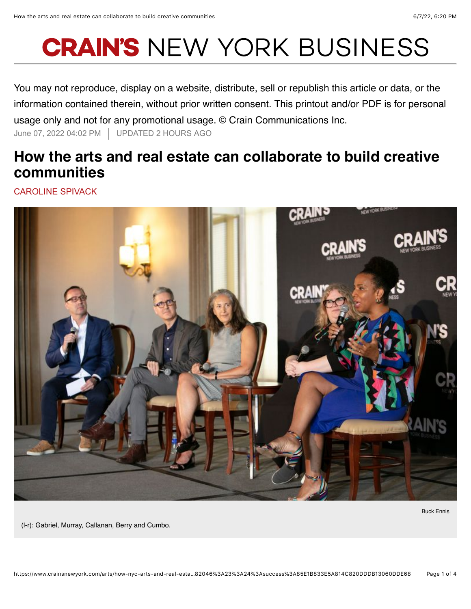## **CRAIN'S NEW YORK BUSINESS**

You may not reproduce, display on a website, distribute, sell or republish this article or data, or the information contained therein, without prior written consent. This printout and/or PDF is for personal usage only and not for any promotional usage. © Crain Communications Inc. June 07, 2022 04:02 PM UPDATED 2 HOURS AGO

## **How the arts and real estate can collaborate to build creative communities**

CAROLINE SPIVACK



Buck Ennis

(l-r): Gabriel, Murray, Callanan, Berry and Cumbo.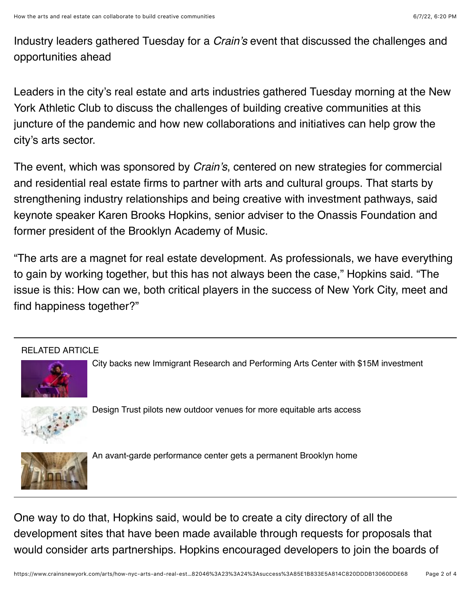Industry leaders gathered Tuesday for a *Crain's* event that discussed the challenges and opportunities ahead

Leaders in the city's real estate and arts industries gathered Tuesday morning at the New York Athletic Club to discuss the challenges of building creative communities at this juncture of the pandemic and how new collaborations and initiatives can help grow the city's arts sector.

The event, which was sponsored by *Crain's*, centered on new strategies for commercial and residential real estate firms to partner with arts and cultural groups. That starts by strengthening industry relationships and being creative with investment pathways, said keynote speaker Karen Brooks Hopkins, senior adviser to the Onassis Foundation and former president of the Brooklyn Academy of Music.

"The arts are a magnet for real estate development. As professionals, we have everything to gain by working together, but this has not always been the case," Hopkins said. "The issue is this: How can we, both critical players in the success of New York City, meet and find happiness together?"

## RELATED ARTICLE



City backs new Immigrant Research and Performing Arts Center with \$15M investment



Design Trust pilots new outdoor venues for more equitable arts access



An avant-garde performance center gets a permanent Brooklyn home

One way to do that, Hopkins said, would be to create a city directory of all the development sites that have been made available through requests for proposals that would consider arts partnerships. Hopkins encouraged developers to join the boards of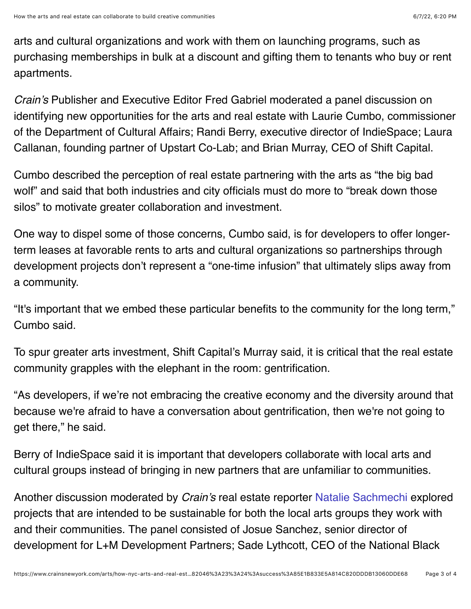arts and cultural organizations and work with them on launching programs, such as purchasing memberships in bulk at a discount and gifting them to tenants who buy or rent apartments.

*Crain's* Publisher and Executive Editor Fred Gabriel moderated a panel discussion on identifying new opportunities for the arts and real estate with Laurie Cumbo, commissioner of the Department of Cultural Affairs; Randi Berry, executive director of IndieSpace; Laura Callanan, founding partner of Upstart Co-Lab; and Brian Murray, CEO of Shift Capital.

Cumbo described the perception of real estate partnering with the arts as "the big bad wolf" and said that both industries and city officials must do more to "break down those silos" to motivate greater collaboration and investment.

One way to dispel some of those concerns, Cumbo said, is for developers to offer longerterm leases at favorable rents to arts and cultural organizations so partnerships through development projects don't represent a "one-time infusion" that ultimately slips away from a community.

"It's important that we embed these particular benefits to the community for the long term," Cumbo said.

To spur greater arts investment, Shift Capital's Murray said, it is critical that the real estate community grapples with the elephant in the room: gentrification.

"As developers, if we're not embracing the creative economy and the diversity around that because we're afraid to have a conversation about gentrification, then we're not going to get there," he said.

Berry of IndieSpace said it is important that developers collaborate with local arts and cultural groups instead of bringing in new partners that are unfamiliar to communities.

Another discussion moderated by *Crain's* real estate reporter Natalie Sachmechi explored projects that are intended to be sustainable for both the local arts groups they work with and their communities. The panel consisted of Josue Sanchez, senior director of development for L+M Development Partners; Sade Lythcott, CEO of the National Black